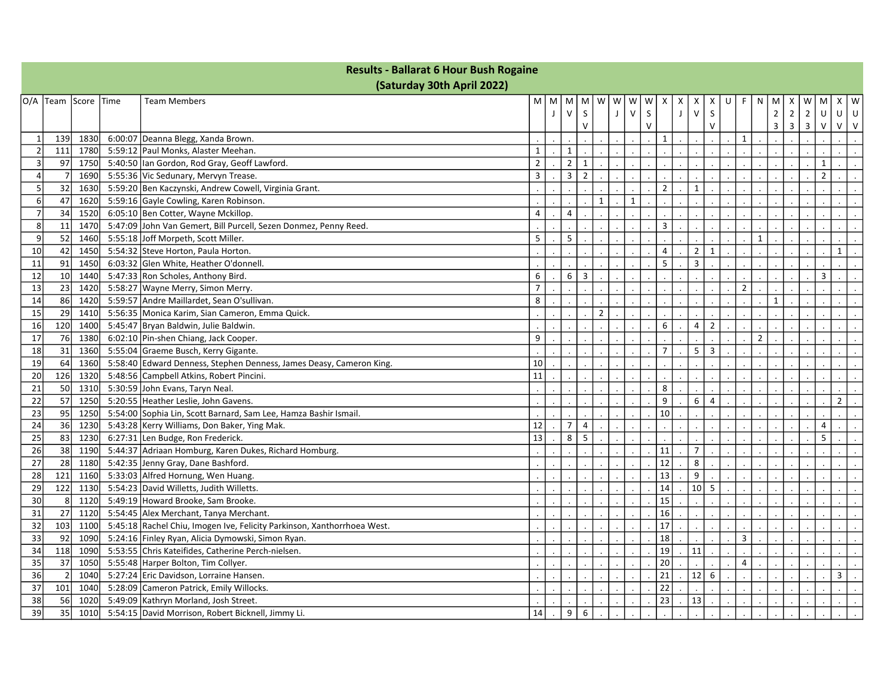| <b>Results - Ballarat 6 Hour Bush Rogaine</b> |                            |      |  |                                                                         |                |                          |                |                |                |              |              |        |                 |                              |                |              |                |                |                |                |                |                |     |
|-----------------------------------------------|----------------------------|------|--|-------------------------------------------------------------------------|----------------|--------------------------|----------------|----------------|----------------|--------------|--------------|--------|-----------------|------------------------------|----------------|--------------|----------------|----------------|----------------|----------------|----------------|----------------|-----|
|                                               | (Saturday 30th April 2022) |      |  |                                                                         |                |                          |                |                |                |              |              |        |                 |                              |                |              |                |                |                |                |                |                |     |
|                                               | O/A Team Score Time        |      |  | <b>Team Members</b>                                                     | M              | M                        | M              | M              | W              | W            | W            | W      | X               | X<br>х                       | X              | F            | N              | м              |                |                | M              | X              | W   |
|                                               |                            |      |  |                                                                         |                | $\overline{\phantom{a}}$ | $\vee$         | S              |                | $\mathsf{J}$ | V            | S      |                 | $\mathsf{V}$<br>$\mathsf{J}$ | S              |              |                | $\overline{2}$ | $\overline{2}$ | $\overline{2}$ | U              | U              | l U |
|                                               |                            |      |  |                                                                         |                |                          |                | $\vee$         |                |              |              | $\vee$ |                 |                              | V              |              |                | 3              | $\mathbf{3}$   | $\overline{3}$ | $\mathsf{V}$   | $V$ $V$        |     |
| $\mathbf{1}$                                  | 139                        | 1830 |  | 6:00:07 Deanna Blegg, Xanda Brown.                                      |                |                          |                |                |                |              |              |        | $\mathbf{1}$    |                              |                | $\mathbf{1}$ |                |                |                |                |                |                |     |
|                                               | 111                        | 1780 |  | 5:59:12 Paul Monks, Alaster Meehan.                                     | $\mathbf{1}$   |                          | $\mathbf{1}$   |                |                |              |              |        |                 |                              |                |              |                |                |                |                |                |                |     |
| $\overline{3}$                                | 97                         | 1750 |  | 5:40:50 Ian Gordon, Rod Gray, Geoff Lawford.                            | $\overline{2}$ |                          | $\overline{2}$ | $\mathbf{1}$   |                |              |              |        |                 |                              |                |              |                |                |                |                | $\mathbf{1}$   |                |     |
| $\overline{4}$                                |                            | 1690 |  | 5:55:36 Vic Sedunary, Mervyn Trease.                                    | 3              |                          | $\overline{3}$ | $\overline{2}$ |                |              |              |        |                 |                              |                |              |                |                |                |                | $\overline{2}$ |                |     |
| 5                                             | 32                         | 1630 |  | 5:59:20 Ben Kaczynski, Andrew Cowell, Virginia Grant.                   |                |                          |                |                |                |              |              |        | $\overline{2}$  | $\mathbf{1}$                 |                |              |                |                |                |                |                |                |     |
| 6                                             | 47                         | 1620 |  | 5:59:16 Gayle Cowling, Karen Robinson.                                  |                |                          |                |                | $\mathbf{1}$   |              | $\mathbf{1}$ |        |                 |                              |                |              |                |                |                |                |                |                |     |
| $\overline{7}$                                | 34                         | 1520 |  | 6:05:10 Ben Cotter, Wayne Mckillop.                                     | 4              |                          | 4              |                |                |              |              |        |                 |                              |                |              |                |                |                |                |                |                |     |
| 8                                             | 11                         | 1470 |  | 5:47:09 John Van Gemert, Bill Purcell, Sezen Donmez, Penny Reed.        |                |                          |                |                |                |              |              |        | 3               |                              |                |              |                |                |                |                |                |                |     |
| 9                                             | 52                         | 1460 |  | 5:55:18 Joff Morpeth, Scott Miller.                                     | 5              |                          | 5              |                |                |              |              |        |                 |                              |                |              | $\mathbf{1}$   |                |                |                |                |                |     |
| 10                                            | 42                         | 1450 |  | 5:54:32 Steve Horton, Paula Horton.                                     |                |                          |                |                |                |              |              |        | $\overline{4}$  | $\overline{2}$               | $\mathbf{1}$   |              |                |                |                |                |                | $\mathbf{1}$   |     |
| 11                                            | 91                         | 1450 |  | 6:03:32 Glen White, Heather O'donnell                                   |                |                          |                |                |                |              |              |        | 5               | 3                            |                |              |                |                |                |                |                |                |     |
| 12                                            | 10                         | 1440 |  | 5:47:33 Ron Scholes, Anthony Bird.                                      | 6              |                          | 6              | 3              |                |              |              |        |                 |                              |                |              |                |                |                |                | $\overline{3}$ |                |     |
| 13                                            | 23                         | 1420 |  | 5:58:27 Wayne Merry, Simon Merry.                                       | $\overline{7}$ |                          |                |                |                |              |              |        |                 |                              |                | $\mathbf 2$  |                |                |                |                |                |                |     |
| 14                                            | 86                         | 1420 |  | 5:59:57 Andre Maillardet, Sean O'sullivan.                              | 8              |                          |                |                |                |              |              |        |                 |                              |                |              |                | $\mathbf{1}$   |                |                |                |                |     |
| 15                                            | 29                         | 1410 |  | 5:56:35   Monica Karim, Sian Cameron, Emma Quick.                       |                |                          |                |                | $\overline{2}$ |              |              |        |                 |                              |                |              |                |                |                |                |                |                |     |
| 16                                            | 120                        | 1400 |  | 5:45:47 Bryan Baldwin, Julie Baldwin.                                   |                |                          |                |                |                |              |              |        | 6               | $\overline{4}$               | $\overline{2}$ |              |                |                |                |                |                |                |     |
| 17                                            | 76                         | 1380 |  | 6:02:10 Pin-shen Chiang, Jack Cooper.                                   | 9              |                          |                |                |                |              |              |        |                 |                              |                |              | $\overline{2}$ |                |                |                |                |                |     |
| 18                                            | 31                         | 1360 |  | 5:55:04 Graeme Busch, Kerry Gigante.                                    |                |                          |                |                |                |              |              |        | $\overline{7}$  | 5                            | 3              |              |                |                |                |                |                |                |     |
| 19                                            | 64                         | 1360 |  | 5:58:40 Edward Denness, Stephen Denness, James Deasy, Cameron King.     | 10             |                          |                |                |                |              |              |        |                 |                              |                |              |                |                |                |                |                |                |     |
| 20                                            | 126                        | 1320 |  | 5:48:56 Campbell Atkins, Robert Pincini.                                | 11             |                          |                |                |                |              |              |        |                 |                              |                |              |                |                |                |                |                |                |     |
| 21                                            | 50                         | 1310 |  | 5:30:59 John Evans, Taryn Neal.                                         |                |                          |                |                |                |              |              |        | 8               |                              |                |              |                |                |                |                |                |                |     |
| 22                                            | 57                         | 1250 |  | 5:20:55 Heather Leslie, John Gavens.                                    |                |                          |                |                |                |              |              |        | 9               | 6                            | 4              |              |                |                |                |                |                | $\overline{2}$ |     |
| 23                                            | 95                         | 1250 |  | 5:54:00 Sophia Lin, Scott Barnard, Sam Lee, Hamza Bashir Ismail.        |                |                          |                |                |                |              |              |        | 10              |                              |                |              |                |                |                |                |                |                |     |
| 24                                            | 36                         | 1230 |  | 5:43:28 Kerry Williams, Don Baker, Ying Mak.                            | 12             |                          | $\overline{7}$ | $\overline{4}$ |                |              |              |        |                 |                              |                |              |                |                |                |                | $\overline{4}$ |                |     |
| 25                                            | 83                         | 1230 |  | 6:27:31 Len Budge, Ron Frederick.                                       | 13             |                          | 8              | 5              |                |              |              |        |                 |                              |                |              |                |                |                |                | 5              |                |     |
| 26                                            | 38                         | 1190 |  | 5:44:37 Adriaan Homburg, Karen Dukes, Richard Homburg.                  |                |                          |                |                |                |              |              |        | 11              | $\overline{7}$               |                |              |                |                |                |                |                |                |     |
| 27                                            | 28                         | 1180 |  | 5:42:35 Jenny Gray, Dane Bashford.                                      |                |                          |                |                |                |              |              |        | 12              | 8                            |                |              |                |                |                |                |                |                |     |
| 28                                            | 121                        | 1160 |  | 5:33:03 Alfred Hornung, Wen Huang.                                      |                |                          |                |                |                |              |              |        | 13              | 9                            |                |              |                |                |                |                |                |                |     |
| 29                                            | 122                        | 1130 |  | 5:54:23 David Willetts, Judith Willetts.                                |                |                          |                |                |                |              |              |        | 14              | 10                           | 5              |              |                |                |                |                |                |                |     |
| 30                                            | 8                          | 1120 |  | 5:49:19 Howard Brooke, Sam Brooke.                                      |                |                          |                |                |                |              |              |        | 15              |                              |                |              |                |                |                |                |                |                |     |
| 31                                            | 27                         | 1120 |  | 5:54:45 Alex Merchant, Tanya Merchant.                                  |                |                          |                |                |                |              |              |        | 16              |                              |                |              |                |                |                |                |                |                |     |
| 32                                            | 103                        | 1100 |  | 5:45:18 Rachel Chiu, Imogen Ive, Felicity Parkinson, Xanthorrhoea West. |                |                          |                |                |                |              |              |        | 17              |                              |                |              |                |                |                |                |                |                |     |
| 33                                            | 92                         | 1090 |  | 5:24:16 Finley Ryan, Alicia Dymowski, Simon Ryan.                       |                |                          |                |                |                |              |              |        | $\overline{18}$ |                              |                | $\mathsf{3}$ |                |                |                |                |                |                |     |
| 34                                            | 118                        | 1090 |  | 5:53:55 Chris Kateifides, Catherine Perch-nielsen.                      |                |                          |                |                |                |              |              |        | 19              | 11                           |                |              |                |                |                |                |                |                |     |
| 35                                            | 37                         | 1050 |  | 5:55:48 Harper Bolton, Tim Collyer.                                     |                |                          |                |                |                |              |              |        | 20              |                              |                | 4            |                |                |                |                |                |                |     |
| 36                                            | $\mathfrak{p}$             | 1040 |  | 5:27:24 Eric Davidson, Lorraine Hansen.                                 |                |                          |                |                |                |              |              |        | 21              | 12                           | 6              |              |                |                |                |                |                | 3              |     |
| 37                                            | 101                        | 1040 |  | 5:28:09 Cameron Patrick, Emily Willocks.                                |                |                          |                |                |                |              |              |        | 22              |                              |                |              |                |                |                |                |                |                |     |
| 38                                            | 56                         | 1020 |  | 5:49:09   Kathryn Morland, Josh Street.                                 |                |                          |                |                |                |              |              |        | 23              | 13                           |                |              |                |                |                |                |                |                |     |
| 39                                            | 35                         | 1010 |  | 5:54:15 David Morrison, Robert Bicknell, Jimmy Li.                      | 14             |                          | 9              | 6              |                |              |              |        |                 |                              |                |              |                |                |                |                |                |                |     |